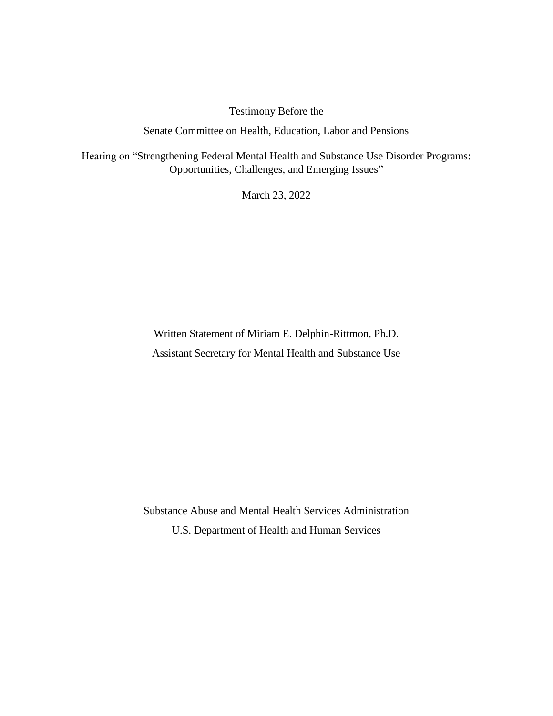Testimony Before the

Senate Committee on Health, Education, Labor and Pensions

Hearing on "Strengthening Federal Mental Health and Substance Use Disorder Programs: Opportunities, Challenges, and Emerging Issues"

March 23, 2022

Written Statement of Miriam E. Delphin-Rittmon, Ph.D. Assistant Secretary for Mental Health and Substance Use

Substance Abuse and Mental Health Services Administration U.S. Department of Health and Human Services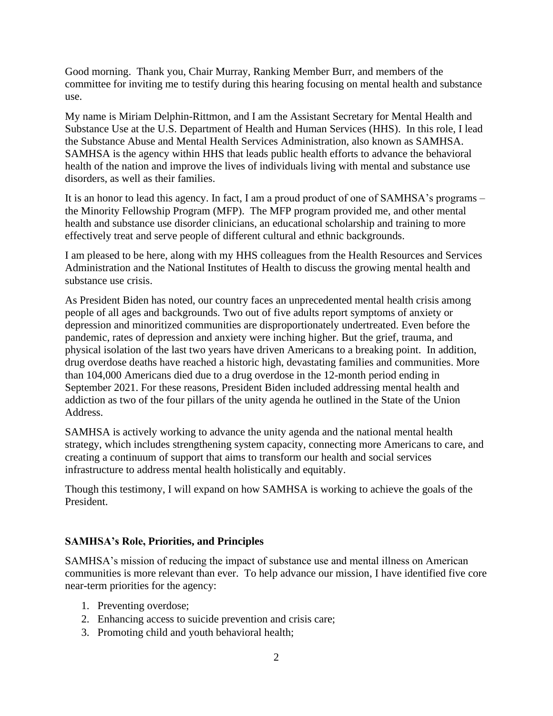Good morning. Thank you, Chair Murray, Ranking Member Burr, and members of the committee for inviting me to testify during this hearing focusing on mental health and substance use.

My name is Miriam Delphin-Rittmon, and I am the Assistant Secretary for Mental Health and Substance Use at the U.S. Department of Health and Human Services (HHS). In this role, I lead the Substance Abuse and Mental Health Services Administration, also known as SAMHSA. SAMHSA is the agency within HHS that leads public health efforts to advance the behavioral health of the nation and improve the lives of individuals living with mental and substance use disorders, as well as their families.

It is an honor to lead this agency. In fact, I am a proud product of one of SAMHSA's programs – the Minority Fellowship Program (MFP). The MFP program provided me, and other mental health and substance use disorder clinicians, an educational scholarship and training to more effectively treat and serve people of different cultural and ethnic backgrounds.

I am pleased to be here, along with my HHS colleagues from the Health Resources and Services Administration and the National Institutes of Health to discuss the growing mental health and substance use crisis.

As President Biden has noted, our country faces an unprecedented mental health crisis among people of all ages and backgrounds. Two out of five adults report symptoms of anxiety or depression and minoritized communities are disproportionately undertreated. Even before the pandemic, rates of depression and anxiety were inching higher. But the grief, trauma, and physical isolation of the last two years have driven Americans to a breaking point. In addition, drug overdose deaths have reached a historic high, devastating families and communities. More than 104,000 Americans died due to a drug overdose in the 12-month period ending in September 2021. For these reasons, President Biden included addressing mental health and addiction as two of the four pillars of the unity agenda he outlined in the State of the Union Address.

SAMHSA is actively working to advance the unity agenda and the national mental health strategy, which includes strengthening system capacity, connecting more Americans to care, and creating a continuum of support that aims to transform our health and social services infrastructure to address mental health holistically and equitably.

Though this testimony, I will expand on how SAMHSA is working to achieve the goals of the President.

#### **SAMHSA's Role, Priorities, and Principles**

SAMHSA's mission of reducing the impact of substance use and mental illness on American communities is more relevant than ever. To help advance our mission, I have identified five core near-term priorities for the agency:

- 1. Preventing overdose;
- 2. Enhancing access to suicide prevention and crisis care;
- 3. Promoting child and youth behavioral health;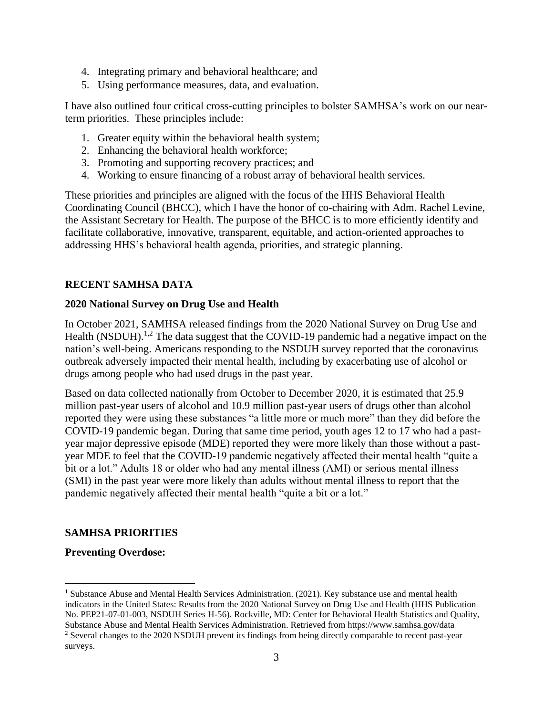- 4. Integrating primary and behavioral healthcare; and
- 5. Using performance measures, data, and evaluation.

I have also outlined four critical cross-cutting principles to bolster SAMHSA's work on our nearterm priorities. These principles include:

- 1. Greater equity within the behavioral health system;
- 2. Enhancing the behavioral health workforce;
- 3. Promoting and supporting recovery practices; and
- 4. Working to ensure financing of a robust array of behavioral health services.

These priorities and principles are aligned with the focus of the HHS Behavioral Health Coordinating Council (BHCC), which I have the honor of co-chairing with Adm. Rachel Levine, the Assistant Secretary for Health. The purpose of the BHCC is to more efficiently identify and facilitate collaborative, innovative, transparent, equitable, and action-oriented approaches to addressing HHS's behavioral health agenda, priorities, and strategic planning.

### **RECENT SAMHSA DATA**

### **2020 National Survey on Drug Use and Health**

In October 2021, SAMHSA released findings from the 2020 National Survey on Drug Use and Health (NSDUH).<sup>1,2</sup> The data suggest that the COVID-19 pandemic had a negative impact on the nation's well-being. Americans responding to the NSDUH survey reported that the coronavirus outbreak adversely impacted their mental health, including by exacerbating use of alcohol or drugs among people who had used drugs in the past year.

Based on data collected nationally from October to December 2020, it is estimated that 25.9 million past-year users of alcohol and 10.9 million past-year users of drugs other than alcohol reported they were using these substances "a little more or much more" than they did before the COVID-19 pandemic began. During that same time period, youth ages 12 to 17 who had a pastyear major depressive episode (MDE) reported they were more likely than those without a pastyear MDE to feel that the COVID-19 pandemic negatively affected their mental health "quite a bit or a lot." Adults 18 or older who had any mental illness (AMI) or serious mental illness (SMI) in the past year were more likely than adults without mental illness to report that the pandemic negatively affected their mental health "quite a bit or a lot."

### **SAMHSA PRIORITIES**

### **Preventing Overdose:**

<sup>&</sup>lt;sup>1</sup> Substance Abuse and Mental Health Services Administration. (2021). Key substance use and mental health indicators in the United States: Results from the 2020 National Survey on Drug Use and Health (HHS Publication No. PEP21-07-01-003, NSDUH Series H-56). Rockville, MD: Center for Behavioral Health Statistics and Quality, Substance Abuse and Mental Health Services Administration. Retrieved from https://www.samhsa.gov/data <sup>2</sup> Several changes to the 2020 NSDUH prevent its findings from being directly comparable to recent past-year surveys.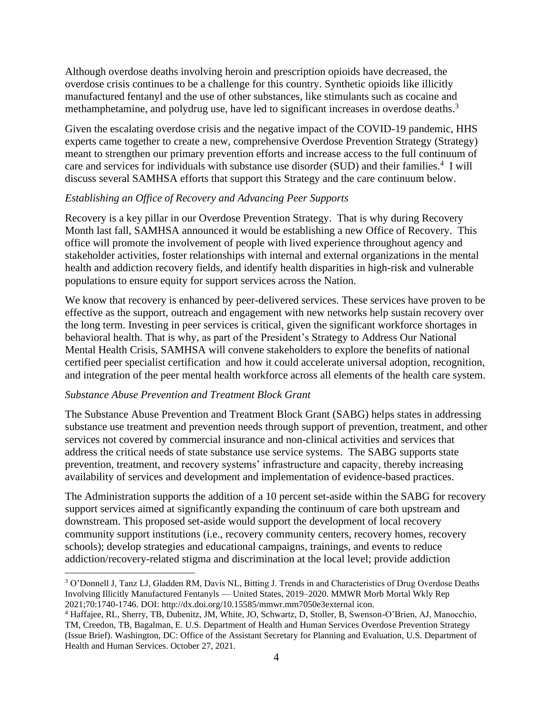Although overdose deaths involving heroin and prescription opioids have decreased, the overdose crisis continues to be a challenge for this country. Synthetic opioids like illicitly manufactured fentanyl and the use of other substances, like stimulants such as cocaine and methamphetamine, and polydrug use, have led to significant increases in overdose deaths.<sup>3</sup>

Given the escalating overdose crisis and the negative impact of the COVID-19 pandemic, HHS experts came together to create a new, comprehensive Overdose Prevention Strategy (Strategy) meant to strengthen our primary prevention efforts and increase access to the full continuum of care and services for individuals with substance use disorder (SUD) and their families.<sup>4</sup> I will discuss several SAMHSA efforts that support this Strategy and the care continuum below.

### *Establishing an Office of Recovery and Advancing Peer Supports*

Recovery is a key pillar in our Overdose Prevention Strategy. That is why during Recovery Month last fall, SAMHSA announced it would be establishing a new Office of Recovery. This office will promote the involvement of people with lived experience throughout agency and stakeholder activities, foster relationships with internal and external organizations in the mental health and addiction recovery fields, and identify health disparities in high-risk and vulnerable populations to ensure equity for support services across the Nation.

We know that recovery is enhanced by peer-delivered services. These services have proven to be effective as the support, outreach and engagement with new networks help sustain recovery over the long term. Investing in peer services is critical, given the significant workforce shortages in behavioral health. That is why, as part of the President's Strategy to Address Our National Mental Health Crisis, SAMHSA will convene stakeholders to explore the benefits of national certified peer specialist certification and how it could accelerate universal adoption, recognition, and integration of the peer mental health workforce across all elements of the health care system.

### *Substance Abuse Prevention and Treatment Block Grant*

The Substance Abuse Prevention and Treatment Block Grant (SABG) helps states in addressing substance use treatment and prevention needs through support of prevention, treatment, and other services not covered by commercial insurance and non-clinical activities and services that address the critical needs of state substance use service systems. The SABG supports state prevention, treatment, and recovery systems' infrastructure and capacity, thereby increasing availability of services and development and implementation of evidence-based practices.

The Administration supports the addition of a 10 percent set-aside within the SABG for recovery support services aimed at significantly expanding the continuum of care both upstream and downstream. This proposed set-aside would support the development of local recovery community support institutions (i.e., recovery community centers, recovery homes, recovery schools); develop strategies and educational campaigns, trainings, and events to reduce addiction/recovery-related stigma and discrimination at the local level; provide addiction

<sup>3</sup> O'Donnell J, Tanz LJ, Gladden RM, Davis NL, Bitting J. Trends in and Characteristics of Drug Overdose Deaths Involving Illicitly Manufactured Fentanyls — United States, 2019–2020. MMWR Morb Mortal Wkly Rep 2021;70:1740-1746. DOI: http://dx.doi.org/10.15585/mmwr.mm7050e3external icon.

<sup>4</sup> Haffajee, RL, Sherry, TB, Dubenitz, JM, White, JO, Schwartz, D, Stoller, B, Swenson-O'Brien, AJ, Manocchio, TM, Creedon, TB, Bagalman, E. U.S. Department of Health and Human Services Overdose Prevention Strategy (Issue Brief). Washington, DC: Office of the Assistant Secretary for Planning and Evaluation, U.S. Department of Health and Human Services. October 27, 2021.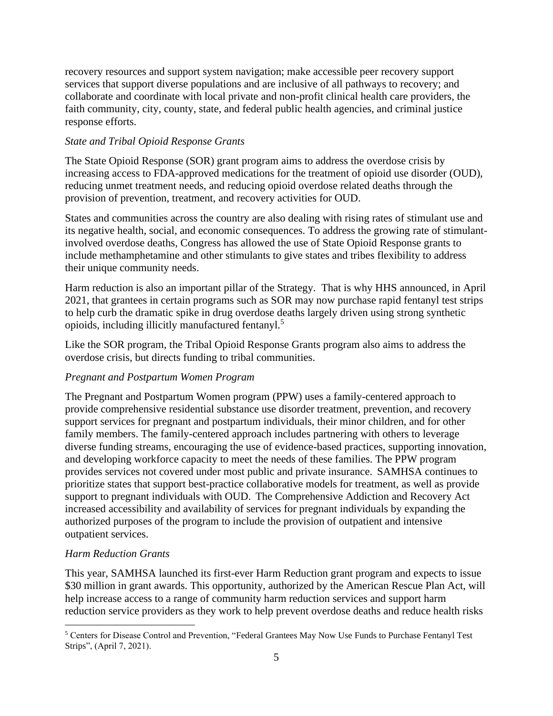recovery resources and support system navigation; make accessible peer recovery support services that support diverse populations and are inclusive of all pathways to recovery; and collaborate and coordinate with local private and non-profit clinical health care providers, the faith community, city, county, state, and federal public health agencies, and criminal justice response efforts.

### *State and Tribal Opioid Response Grants*

The State Opioid Response (SOR) grant program aims to address the overdose crisis by increasing access to FDA-approved medications for the treatment of opioid use disorder (OUD), reducing unmet treatment needs, and reducing opioid overdose related deaths through the provision of prevention, treatment, and recovery activities for OUD.

States and communities across the country are also dealing with rising rates of stimulant use and its negative health, social, and economic consequences. To address the growing rate of stimulantinvolved overdose deaths, Congress has allowed the use of State Opioid Response grants to include methamphetamine and other stimulants to give states and tribes flexibility to address their unique community needs.

Harm reduction is also an important pillar of the Strategy. That is why HHS announced, in April 2021, that grantees in certain programs such as SOR may now purchase rapid fentanyl test strips to help curb the dramatic spike in drug overdose deaths largely driven using strong synthetic opioids, including illicitly manufactured fentanyl.<sup>5</sup>

Like the SOR program, the Tribal Opioid Response Grants program also aims to address the overdose crisis, but directs funding to tribal communities.

### *Pregnant and Postpartum Women Program*

The Pregnant and Postpartum Women program (PPW) uses a family-centered approach to provide comprehensive residential substance use disorder treatment, prevention, and recovery support services for pregnant and postpartum individuals, their minor children, and for other family members. The family-centered approach includes partnering with others to leverage diverse funding streams, encouraging the use of evidence-based practices, supporting innovation, and developing workforce capacity to meet the needs of these families. The PPW program provides services not covered under most public and private insurance. SAMHSA continues to prioritize states that support best-practice collaborative models for treatment, as well as provide support to pregnant individuals with OUD. The Comprehensive Addiction and Recovery Act increased accessibility and availability of services for pregnant individuals by expanding the authorized purposes of the program to include the provision of outpatient and intensive outpatient services.

### *Harm Reduction Grants*

This year, SAMHSA launched its first-ever Harm Reduction grant program and expects to issue \$30 million in grant awards. This opportunity, authorized by the American Rescue Plan Act, will help increase access to a range of community harm reduction services and support harm reduction service providers as they work to help prevent overdose deaths and reduce health risks

<sup>5</sup> Centers for Disease Control and Prevention, "Federal Grantees May Now Use Funds to Purchase Fentanyl Test Strips", (April 7, 2021).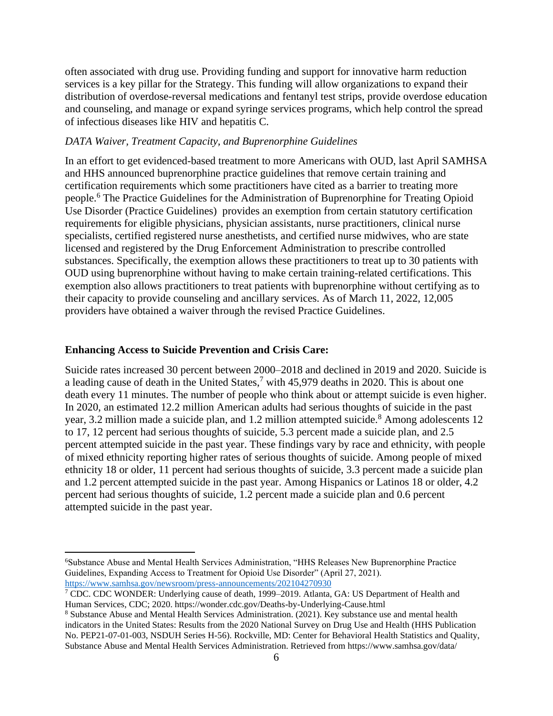often associated with drug use. Providing funding and support for innovative harm reduction services is a key pillar for the Strategy. This funding will allow organizations to expand their distribution of overdose-reversal medications and fentanyl test strips, provide overdose education and counseling, and manage or expand syringe services programs, which help control the spread of infectious diseases like HIV and hepatitis C.

#### *DATA Waiver, Treatment Capacity, and Buprenorphine Guidelines*

In an effort to get evidenced-based treatment to more Americans with OUD, last April SAMHSA and HHS announced buprenorphine practice guidelines that remove certain training and certification requirements which some practitioners have cited as a barrier to treating more people.<sup>6</sup> The Practice Guidelines for the Administration of Buprenorphine for Treating Opioid Use Disorder (Practice Guidelines) provides an exemption from certain statutory certification requirements for eligible physicians, physician assistants, nurse practitioners, clinical nurse specialists, certified registered nurse anesthetists, and certified nurse midwives, who are state licensed and registered by the Drug Enforcement Administration to prescribe controlled substances. Specifically, the exemption allows these practitioners to treat up to 30 patients with OUD using buprenorphine without having to make certain training-related certifications. This exemption also allows practitioners to treat patients with buprenorphine without certifying as to their capacity to provide counseling and ancillary services. As of March 11, 2022, 12,005 providers have obtained a waiver through the revised Practice Guidelines.

### **Enhancing Access to Suicide Prevention and Crisis Care:**

Suicide rates increased 30 percent between 2000–2018 and declined in 2019 and 2020. Suicide is a leading cause of death in the United States,<sup>7</sup> with 45,979 deaths in 2020. This is about one death every 11 minutes. The number of people who think about or attempt suicide is even higher. In 2020, an estimated 12.2 million American adults had serious thoughts of suicide in the past year, 3.2 million made a suicide plan, and 1.2 million attempted suicide.<sup>8</sup> Among adolescents 12 to 17, 12 percent had serious thoughts of suicide, 5.3 percent made a suicide plan, and 2.5 percent attempted suicide in the past year. These findings vary by race and ethnicity, with people of mixed ethnicity reporting higher rates of serious thoughts of suicide. Among people of mixed ethnicity 18 or older, 11 percent had serious thoughts of suicide, 3.3 percent made a suicide plan and 1.2 percent attempted suicide in the past year. Among Hispanics or Latinos 18 or older, 4.2 percent had serious thoughts of suicide, 1.2 percent made a suicide plan and 0.6 percent attempted suicide in the past year.

<sup>6</sup>Substance Abuse and Mental Health Services Administration, "HHS Releases New Buprenorphine Practice Guidelines, Expanding Access to Treatment for Opioid Use Disorder" (April 27, 2021). <https://www.samhsa.gov/newsroom/press-announcements/202104270930>

<sup>&</sup>lt;sup>7</sup> CDC. CDC WONDER: Underlying cause of death, 1999–2019. Atlanta, GA: US Department of Health and Human Services, CDC; 2020. https://wonder.cdc.gov/Deaths-by-Underlying-Cause.html

<sup>8</sup> Substance Abuse and Mental Health Services Administration. (2021). Key substance use and mental health indicators in the United States: Results from the 2020 National Survey on Drug Use and Health (HHS Publication No. PEP21-07-01-003, NSDUH Series H-56). Rockville, MD: Center for Behavioral Health Statistics and Quality, Substance Abuse and Mental Health Services Administration. Retrieved from https://www.samhsa.gov/data/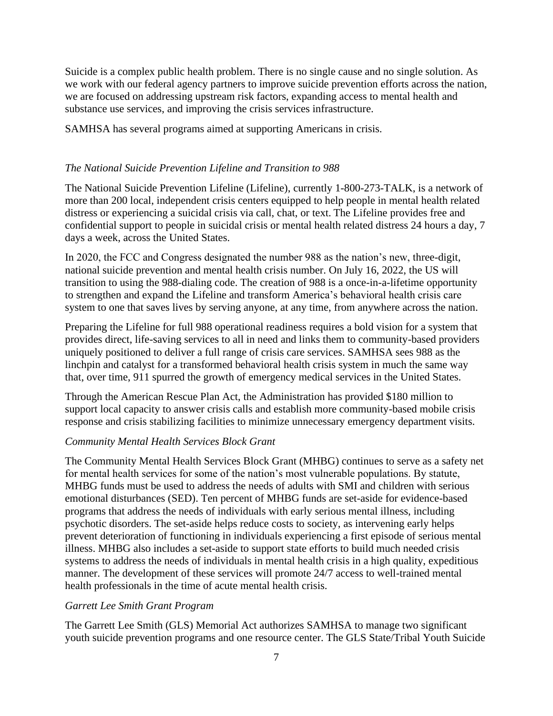Suicide is a complex public health problem. There is no single cause and no single solution. As we work with our federal agency partners to improve suicide prevention efforts across the nation, we are focused on addressing upstream risk factors, expanding access to mental health and substance use services, and improving the crisis services infrastructure.

SAMHSA has several programs aimed at supporting Americans in crisis.

### *The National Suicide Prevention Lifeline and Transition to 988*

The National Suicide Prevention Lifeline (Lifeline), currently 1-800-273-TALK, is a network of more than 200 local, independent crisis centers equipped to help people in mental health related distress or experiencing a suicidal crisis via call, chat, or text. The Lifeline provides free and confidential support to people in suicidal crisis or mental health related distress 24 hours a day, 7 days a week, across the United States.

In 2020, the FCC and Congress designated the number 988 as the nation's new, three-digit, national suicide prevention and mental health crisis number. On July 16, 2022, the US will transition to using the 988-dialing code. The creation of 988 is a once-in-a-lifetime opportunity to strengthen and expand the Lifeline and transform America's behavioral health crisis care system to one that saves lives by serving anyone, at any time, from anywhere across the nation.

Preparing the Lifeline for full 988 operational readiness requires a bold vision for a system that provides direct, life-saving services to all in need and links them to community-based providers uniquely positioned to deliver a full range of crisis care services. SAMHSA sees 988 as the linchpin and catalyst for a transformed behavioral health crisis system in much the same way that, over time, 911 spurred the growth of emergency medical services in the United States.

Through the American Rescue Plan Act, the Administration has provided \$180 million to support local capacity to answer crisis calls and establish more community-based mobile crisis response and crisis stabilizing facilities to minimize unnecessary emergency department visits.

#### *Community Mental Health Services Block Grant*

The Community Mental Health Services Block Grant (MHBG) continues to serve as a safety net for mental health services for some of the nation's most vulnerable populations. By statute, MHBG funds must be used to address the needs of adults with SMI and children with serious emotional disturbances (SED). Ten percent of MHBG funds are set-aside for evidence-based programs that address the needs of individuals with early serious mental illness, including psychotic disorders. The set-aside helps reduce costs to society, as intervening early helps prevent deterioration of functioning in individuals experiencing a first episode of serious mental illness. MHBG also includes a set-aside to support state efforts to build much needed crisis systems to address the needs of individuals in mental health crisis in a high quality, expeditious manner. The development of these services will promote 24/7 access to well-trained mental health professionals in the time of acute mental health crisis.

### *Garrett Lee Smith Grant Program*

The Garrett Lee Smith (GLS) Memorial Act authorizes SAMHSA to manage two significant youth suicide prevention programs and one resource center. The GLS State/Tribal Youth Suicide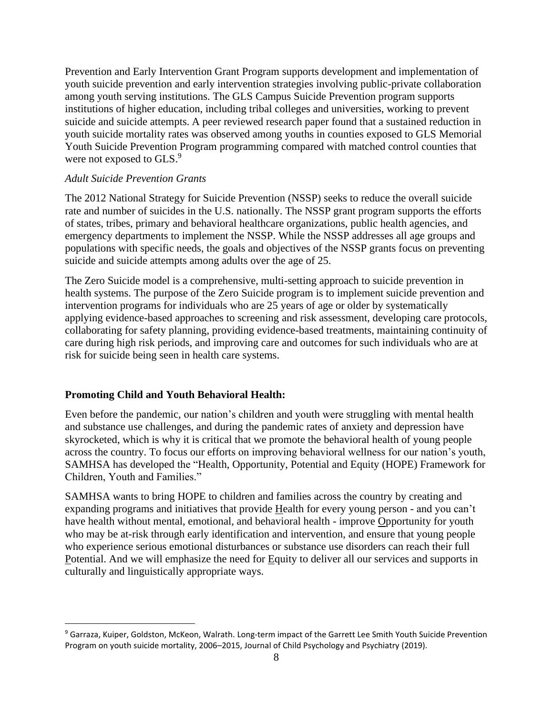Prevention and Early Intervention Grant Program supports development and implementation of youth suicide prevention and early intervention strategies involving public-private collaboration among youth serving institutions. The GLS Campus Suicide Prevention program supports institutions of higher education, including tribal colleges and universities, working to prevent suicide and suicide attempts. A peer reviewed research paper found that a sustained reduction in youth suicide mortality rates was observed among youths in counties exposed to GLS Memorial Youth Suicide Prevention Program programming compared with matched control counties that were not exposed to GLS.<sup>9</sup>

### *Adult Suicide Prevention Grants*

The 2012 National Strategy for Suicide Prevention (NSSP) seeks to reduce the overall suicide rate and number of suicides in the U.S. nationally. The NSSP grant program supports the efforts of states, tribes, primary and behavioral healthcare organizations, public health agencies, and emergency departments to implement the NSSP. While the NSSP addresses all age groups and populations with specific needs, the goals and objectives of the NSSP grants focus on preventing suicide and suicide attempts among adults over the age of 25.

The Zero Suicide model is a comprehensive, multi-setting approach to suicide prevention in health systems. The purpose of the Zero Suicide program is to implement suicide prevention and intervention programs for individuals who are 25 years of age or older by systematically applying evidence-based approaches to screening and risk assessment, developing care protocols, collaborating for safety planning, providing evidence-based treatments, maintaining continuity of care during high risk periods, and improving care and outcomes for such individuals who are at risk for suicide being seen in health care systems.

### **Promoting Child and Youth Behavioral Health:**

Even before the pandemic, our nation's children and youth were struggling with mental health and substance use challenges, and during the pandemic rates of anxiety and depression have skyrocketed, which is why it is critical that we promote the behavioral health of young people across the country. To focus our efforts on improving behavioral wellness for our nation's youth, SAMHSA has developed the "Health, Opportunity, Potential and Equity (HOPE) Framework for Children, Youth and Families."

SAMHSA wants to bring HOPE to children and families across the country by creating and expanding programs and initiatives that provide Health for every young person - and you can't have health without mental, emotional, and behavioral health - improve Opportunity for youth who may be at-risk through early identification and intervention, and ensure that young people who experience serious emotional disturbances or substance use disorders can reach their full Potential. And we will emphasize the need for Equity to deliver all our services and supports in culturally and linguistically appropriate ways.

<sup>9</sup> Garraza, Kuiper, Goldston, McKeon, Walrath. Long-term impact of the Garrett Lee Smith Youth Suicide Prevention Program on youth suicide mortality, 2006–2015, Journal of Child Psychology and Psychiatry (2019).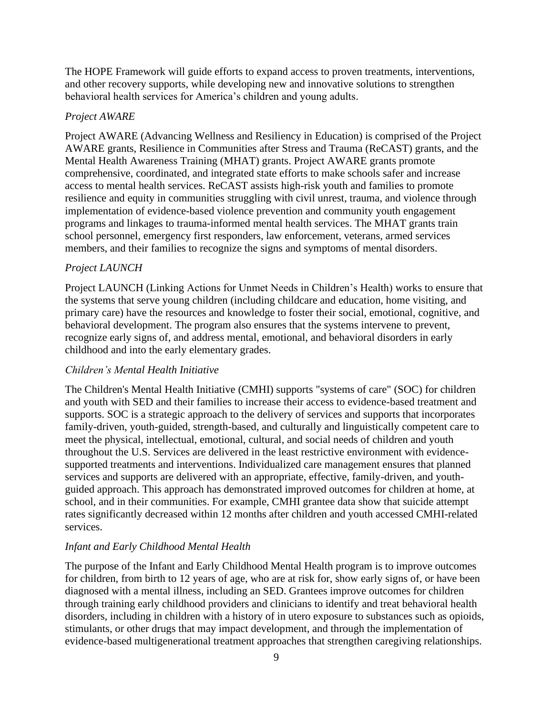The HOPE Framework will guide efforts to expand access to proven treatments, interventions, and other recovery supports, while developing new and innovative solutions to strengthen behavioral health services for America's children and young adults.

### *Project AWARE*

Project AWARE (Advancing Wellness and Resiliency in Education) is comprised of the Project AWARE grants, Resilience in Communities after Stress and Trauma (ReCAST) grants, and the Mental Health Awareness Training (MHAT) grants. Project AWARE grants promote comprehensive, coordinated, and integrated state efforts to make schools safer and increase access to mental health services. ReCAST assists high-risk youth and families to promote resilience and equity in communities struggling with civil unrest, trauma, and violence through implementation of evidence-based violence prevention and community youth engagement programs and linkages to trauma-informed mental health services. The MHAT grants train school personnel, emergency first responders, law enforcement, veterans, armed services members, and their families to recognize the signs and symptoms of mental disorders.

# *Project LAUNCH*

Project LAUNCH (Linking Actions for Unmet Needs in Children's Health) works to ensure that the systems that serve young children (including childcare and education, home visiting, and primary care) have the resources and knowledge to foster their social, emotional, cognitive, and behavioral development. The program also ensures that the systems intervene to prevent, recognize early signs of, and address mental, emotional, and behavioral disorders in early childhood and into the early elementary grades.

# *Children's Mental Health Initiative*

The Children's Mental Health Initiative (CMHI) supports "systems of care" (SOC) for children and youth with SED and their families to increase their access to evidence-based treatment and supports. SOC is a strategic approach to the delivery of services and supports that incorporates family-driven, youth-guided, strength-based, and culturally and linguistically competent care to meet the physical, intellectual, emotional, cultural, and social needs of children and youth throughout the U.S. Services are delivered in the least restrictive environment with evidencesupported treatments and interventions. Individualized care management ensures that planned services and supports are delivered with an appropriate, effective, family-driven, and youthguided approach. This approach has demonstrated improved outcomes for children at home, at school, and in their communities. For example, CMHI grantee data show that suicide attempt rates significantly decreased within 12 months after children and youth accessed CMHI-related services.

# *Infant and Early Childhood Mental Health*

The purpose of the Infant and Early Childhood Mental Health program is to improve outcomes for children, from birth to 12 years of age, who are at risk for, show early signs of, or have been diagnosed with a mental illness, including an SED. Grantees improve outcomes for children through training early childhood providers and clinicians to identify and treat behavioral health disorders, including in children with a history of in utero exposure to substances such as opioids, stimulants, or other drugs that may impact development, and through the implementation of evidence-based multigenerational treatment approaches that strengthen caregiving relationships.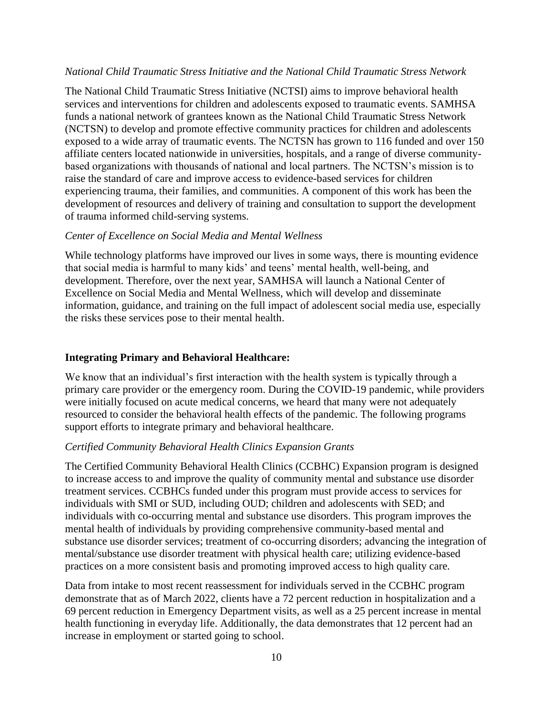### *National Child Traumatic Stress Initiative and the National Child Traumatic Stress Network*

The National Child Traumatic Stress Initiative (NCTSI) aims to improve behavioral health services and interventions for children and adolescents exposed to traumatic events. SAMHSA funds a national network of grantees known as the National Child Traumatic Stress Network (NCTSN) to develop and promote effective community practices for children and adolescents exposed to a wide array of traumatic events. The NCTSN has grown to 116 funded and over 150 affiliate centers located nationwide in universities, hospitals, and a range of diverse communitybased organizations with thousands of national and local partners. The NCTSN's mission is to raise the standard of care and improve access to evidence-based services for children experiencing trauma, their families, and communities. A component of this work has been the development of resources and delivery of training and consultation to support the development of trauma informed child-serving systems.

#### *Center of Excellence on Social Media and Mental Wellness*

While technology platforms have improved our lives in some ways, there is mounting evidence that social media is harmful to many kids' and teens' mental health, well-being, and development. Therefore, over the next year, SAMHSA will launch a National Center of Excellence on Social Media and Mental Wellness, which will develop and disseminate information, guidance, and training on the full impact of adolescent social media use, especially the risks these services pose to their mental health.

### **Integrating Primary and Behavioral Healthcare:**

We know that an individual's first interaction with the health system is typically through a primary care provider or the emergency room. During the COVID-19 pandemic, while providers were initially focused on acute medical concerns, we heard that many were not adequately resourced to consider the behavioral health effects of the pandemic. The following programs support efforts to integrate primary and behavioral healthcare.

### *Certified Community Behavioral Health Clinics Expansion Grants*

The Certified Community Behavioral Health Clinics (CCBHC) Expansion program is designed to increase access to and improve the quality of community mental and substance use disorder treatment services. CCBHCs funded under this program must provide access to services for individuals with SMI or SUD, including OUD; children and adolescents with SED; and individuals with co-occurring mental and substance use disorders. This program improves the mental health of individuals by providing comprehensive community-based mental and substance use disorder services; treatment of co-occurring disorders; advancing the integration of mental/substance use disorder treatment with physical health care; utilizing evidence-based practices on a more consistent basis and promoting improved access to high quality care.

Data from intake to most recent reassessment for individuals served in the CCBHC program demonstrate that as of March 2022, clients have a 72 percent reduction in hospitalization and a 69 percent reduction in Emergency Department visits, as well as a 25 percent increase in mental health functioning in everyday life. Additionally, the data demonstrates that 12 percent had an increase in employment or started going to school.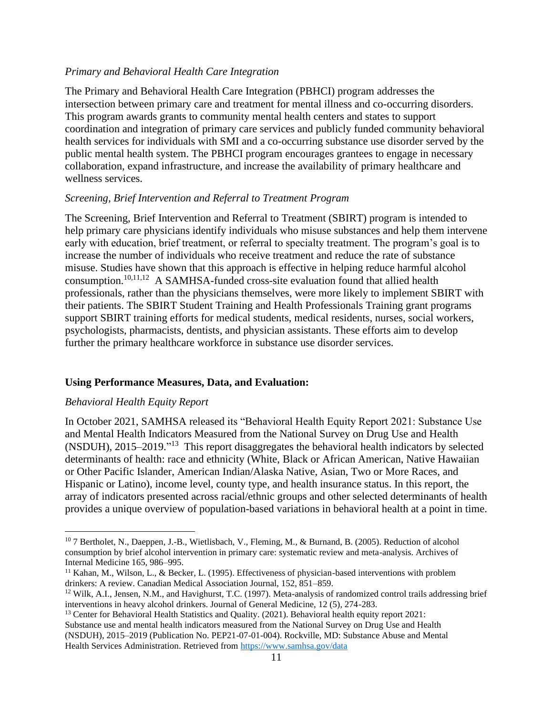### *Primary and Behavioral Health Care Integration*

The Primary and Behavioral Health Care Integration (PBHCI) program addresses the intersection between primary care and treatment for mental illness and co-occurring disorders. This program awards grants to community mental health centers and states to support coordination and integration of primary care services and publicly funded community behavioral health services for individuals with SMI and a co-occurring substance use disorder served by the public mental health system. The PBHCI program encourages grantees to engage in necessary collaboration, expand infrastructure, and increase the availability of primary healthcare and wellness services.

### *Screening, Brief Intervention and Referral to Treatment Program*

The Screening, Brief Intervention and Referral to Treatment (SBIRT) program is intended to help primary care physicians identify individuals who misuse substances and help them intervene early with education, brief treatment, or referral to specialty treatment. The program's goal is to increase the number of individuals who receive treatment and reduce the rate of substance misuse. Studies have shown that this approach is effective in helping reduce harmful alcohol consumption.<sup>10,11,12</sup> A SAMHSA-funded cross-site evaluation found that allied health professionals, rather than the physicians themselves, were more likely to implement SBIRT with their patients. The SBIRT Student Training and Health Professionals Training grant programs support SBIRT training efforts for medical students, medical residents, nurses, social workers, psychologists, pharmacists, dentists, and physician assistants. These efforts aim to develop further the primary healthcare workforce in substance use disorder services.

# **Using Performance Measures, Data, and Evaluation:**

# *Behavioral Health Equity Report*

In October 2021, SAMHSA released its "Behavioral Health Equity Report 2021: Substance Use and Mental Health Indicators Measured from the National Survey on Drug Use and Health (NSDUH), 2015–2019." 13 This report disaggregates the behavioral health indicators by selected determinants of health: race and ethnicity (White, Black or African American, Native Hawaiian or Other Pacific Islander, American Indian/Alaska Native, Asian, Two or More Races, and Hispanic or Latino), income level, county type, and health insurance status. In this report, the array of indicators presented across racial/ethnic groups and other selected determinants of health provides a unique overview of population-based variations in behavioral health at a point in time.

<sup>13</sup> Center for Behavioral Health Statistics and Quality. (2021). Behavioral health equity report 2021: Substance use and mental health indicators measured from the National Survey on Drug Use and Health (NSDUH), 2015–2019 (Publication No. PEP21-07-01-004). Rockville, MD: Substance Abuse and Mental Health Services Administration. Retrieved from<https://www.samhsa.gov/data>

<sup>10</sup> 7 Bertholet, N., Daeppen, J.-B., Wietlisbach, V., Fleming, M., & Burnand, B. (2005). Reduction of alcohol consumption by brief alcohol intervention in primary care: systematic review and meta-analysis. Archives of Internal Medicine 165, 986–995.

<sup>&</sup>lt;sup>11</sup> Kahan, M., Wilson, L., & Becker, L. (1995). Effectiveness of physician-based interventions with problem drinkers: A review. Canadian Medical Association Journal, 152, 851–859.

<sup>&</sup>lt;sup>12</sup> Wilk, A.I., Jensen, N.M., and Havighurst, T.C. (1997). Meta-analysis of randomized control trails addressing brief interventions in heavy alcohol drinkers. Journal of General Medicine, 12 (5), 274-283.